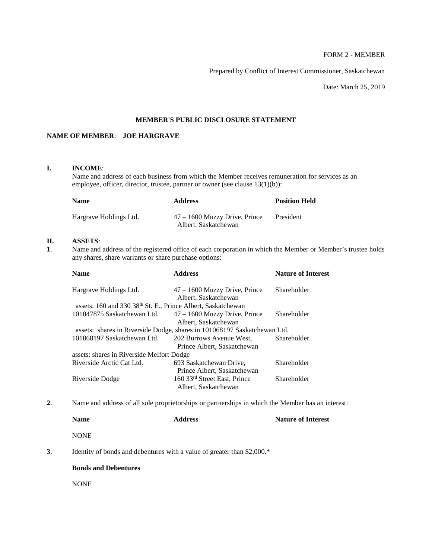# FORM 2 - MEMBER

Prepared by Conflict of Interest Commissioner, Saskatchewan

Date: March 25, 2019

## **MEMBER'S PUBLIC DISCLOSURE STATEMENT**

# **NAME OF MEMBER**: **JOE HARGRAVE**

## **I. INCOME**:

Name and address of each business from which the Member receives remuneration for services as an employee, officer, director, trustee, partner or owner (see clause 13(1)(b)):

| <b>Name</b>            | <b>Address</b>                                          | <b>Position Held</b> |
|------------------------|---------------------------------------------------------|----------------------|
| Hargrave Holdings Ltd. | $47 - 1600$ Muzzy Drive, Prince<br>Albert, Saskatchewan | President            |

# **II. ASSETS**:

**1**. Name and address of the registered office of each corporation in which the Member or Member's trustee holds any shares, share warrants or share purchase options:

| <b>Name</b>                                                              | <b>Address</b>                                          | <b>Nature of Interest</b> |  |
|--------------------------------------------------------------------------|---------------------------------------------------------|---------------------------|--|
| Hargrave Holdings Ltd.                                                   | $47 - 1600$ Muzzy Drive, Prince<br>Albert, Saskatchewan | Shareholder               |  |
| assets: 160 and 330 38 <sup>th</sup> St. E., Prince Albert, Saskatchewan |                                                         |                           |  |
| 101047875 Saskatchewan Ltd.                                              | $47 - 1600$ Muzzy Drive, Prince<br>Albert, Saskatchewan | Shareholder               |  |
| assets: shares in Riverside Dodge, shares in 101068197 Saskatchewan Ltd. |                                                         |                           |  |
| 101068197 Saskatchewan Ltd.                                              | 202 Burrows Avenue West,<br>Prince Albert, Saskatchewan | Shareholder               |  |
| assets: shares in Riverside Melfort Dodge                                |                                                         |                           |  |
| Riverside Arctic Cat Ltd.                                                | 693 Saskatchewan Drive,<br>Prince Albert, Saskatchewan  | Shareholder               |  |
| Riverside Dodge                                                          | 160 33rd Street East, Prince<br>Albert, Saskatchewan    | Shareholder               |  |

**2**. Name and address of all sole proprietorships or partnerships in which the Member has an interest:

| <b>Name</b> | <b>Address</b> | <b>Nature of Interest</b> |
|-------------|----------------|---------------------------|
| <b>NONE</b> |                |                           |

**3**. Identity of bonds and debentures with a value of greater than \$2,000.\*

## **Bonds and Debentures**

NONE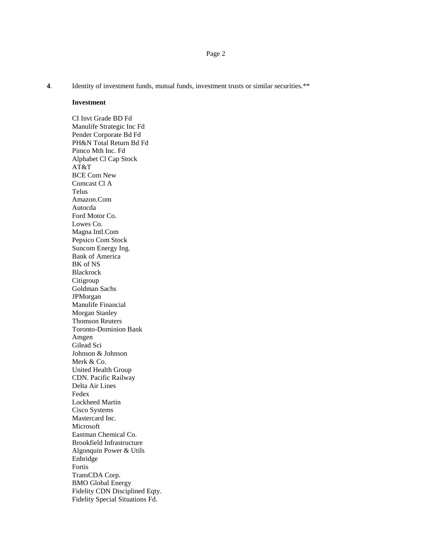**4**. Identity of investment funds, mutual funds, investment trusts or similar securities.\*\*

#### **Investment**

CI Invt Grade BD Fd Manulife Strategic Inc Fd Pender Corporate Bd Fd PH&N Total Return Bd Fd Pimco Mth Inc. Fd Alphabet Cl Cap Stock AT&T BCE Com New Comcast Cl A Telus Amazon.Com Autocda Ford Motor Co. Lowes Co. Magna Intl.Com Pepsico Com Stock Suncom Energy Ing. Bank of America BK of NS Blackrock Citigroup Goldman Sachs JPMorgan Manulife Financial Morgan Stanley Thomson Reuters Toronto-Dominion Bank Amgen Gilead Sci Johnson & Johnson Merk & Co. United Health Group CDN. Pacific Railway Delta Air Lines Fedex Lockheed Martin Cisco Systems Mastercard Inc. Microsoft Eastman Chemical Co. Brookfield Infrastructure Algonquin Power & Utils Enbridge Fortis TransCDA Corp. BMO Global Energy Fidelity CDN Disciplined Eqty. Fidelity Special Situations Fd.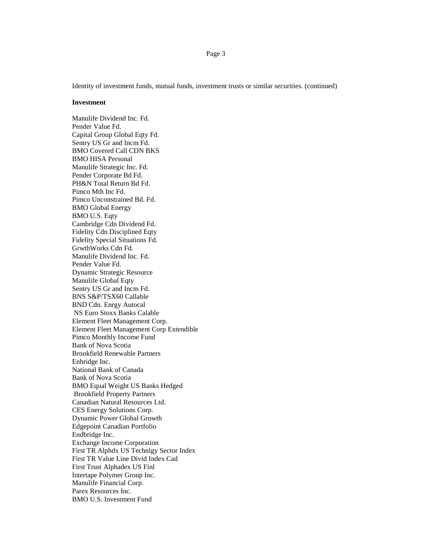Identity of investment funds, mutual funds, investment trusts or similar securities. (continued)

#### **Investment**

Manulife Dividend Inc. Fd. Pender Value Fd. Capital Group Global Eqty Fd. Sentry US Gr and Incm Fd. BMO Covered Call CDN BKS BMO HISA Personal Manulife Strategic Inc. Fd. Pender Corporate Bd Fd. PH&N Total Return Bd Fd. Pimco Mth Inc Fd. Pimco Unconstrained Bd. Fd. BMO Global Energy BMO U.S. Eqty Cambridge Cdn Dividend Fd. Fidelity Cdn Disciplined Eqty Fidelity Special Situations Fd. GrwthWorks Cdn Fd. Manulife Dividend Inc. Fd. Pender Value Fd. Dynamic Strategic Resource Manulife Global Eqty Sentry US Gr and Incm Fd. BNS S&P/TSX60 Callable BND Cdn. Enrgy Autocal NS Euro Stoxx Banks Calable Element Fleet Management Corp. Element Fleet Management Corp Extendible Pimco Monthly Income Fund Bank of Nova Scotia Brookfield Renewable Partners Enbridge Inc. National Bank of Canada Bank of Nova Scotia BMO Equal Weight US Banks Hedged Brookfield Property Partners Canadian Natural Resources Ltd. CES Energy Solutions Corp. Dynamic Power Global Growth Edgepoint Canadian Portfolio Endbridge Inc. Exchange Income Corporation First TR Alphdx US Technlgy Sector Index First TR Value Line Divid Index Cad First Trust Alphadex US Finl Intertape Polymer Group Inc. Manulife Financial Corp. Parex Resources Inc. BMO U.S. Investment Fund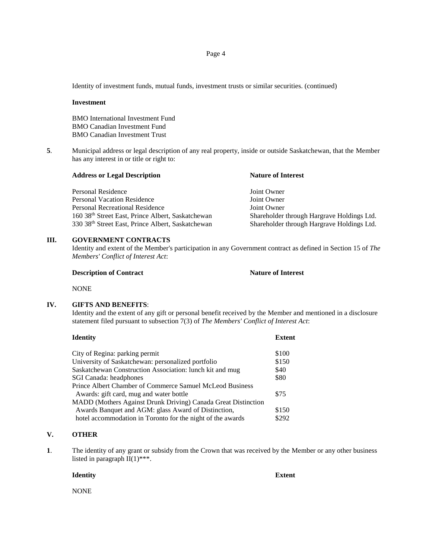Identity of investment funds, mutual funds, investment trusts or similar securities. (continued)

#### **Investment**

BMO International Investment Fund BMO Canadian Investment Fund BMO Canadian Investment Trust

**5**. Municipal address or legal description of any real property, inside or outside Saskatchewan, that the Member has any interest in or title or right to:

| <b>Address or Legal Description</b>                           | <b>Nature of Interest</b>                  |
|---------------------------------------------------------------|--------------------------------------------|
| Personal Residence                                            | Joint Owner                                |
| <b>Personal Vacation Residence</b>                            | Joint Owner                                |
| Personal Recreational Residence                               | Joint Owner                                |
| 160 38 <sup>th</sup> Street East, Prince Albert, Saskatchewan | Shareholder through Hargrave Holdings Ltd. |
| 330 38th Street East, Prince Albert, Saskatchewan             | Shareholder through Hargrave Holdings Ltd. |

## **III. GOVERNMENT CONTRACTS**

Identity and extent of the Member's participation in any Government contract as defined in Section 15 of *The Members' Conflict of Interest Act*:

| <b>Nature of Interest</b> |
|---------------------------|
|                           |
|                           |

NONE

## **IV. GIFTS AND BENEFITS**:

Identity and the extent of any gift or personal benefit received by the Member and mentioned in a disclosure statement filed pursuant to subsection 7(3) of *The Members' Conflict of Interest Act*:

| <b>Identity</b>                                               | <b>Extent</b> |
|---------------------------------------------------------------|---------------|
| City of Regina: parking permit                                | \$100         |
| University of Saskatchewan: personalized portfolio            | \$150         |
| Saskatchewan Construction Association: lunch kit and mug      | \$40          |
| SGI Canada: headphones                                        | \$80          |
| Prince Albert Chamber of Commerce Samuel McLeod Business      |               |
| Awards: gift card, mug and water bottle                       | \$75          |
| MADD (Mothers Against Drunk Driving) Canada Great Distinction |               |
| Awards Banquet and AGM: glass Award of Distinction,           | \$150         |
| hotel accommodation in Toronto for the night of the awards    | \$292         |

# **V. OTHER**

**1**. The identity of any grant or subsidy from the Crown that was received by the Member or any other business listed in paragraph  $II(1)$ <sup>\*\*\*</sup>.

**Identity Extent**

NONE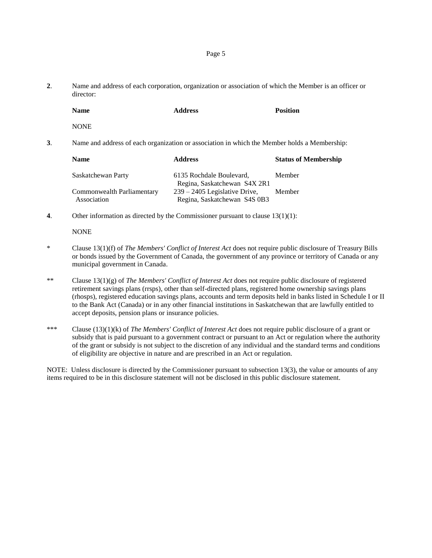**2**. Name and address of each corporation, organization or association of which the Member is an officer or director:

| Name | <b>Address</b> | <b>Position</b> |
|------|----------------|-----------------|
|      |                |                 |

**NONE** 

**3**. Name and address of each organization or association in which the Member holds a Membership:

| <b>Address</b>                  | <b>Status of Membership</b>                                  |
|---------------------------------|--------------------------------------------------------------|
| 6135 Rochdale Boulevard,        | Member                                                       |
| $239 - 2405$ Legislative Drive, | Member                                                       |
|                                 | Regina, Saskatchewan S4X 2R1<br>Regina, Saskatchewan S4S 0B3 |

**4**. Other information as directed by the Commissioner pursuant to clause 13(1)(1):

**NONE** 

- \* Clause 13(1)(f) of *The Members' Conflict of Interest Act* does not require public disclosure of Treasury Bills or bonds issued by the Government of Canada, the government of any province or territory of Canada or any municipal government in Canada.
- \*\* Clause 13(1)(g) of *The Members' Conflict of Interest Act* does not require public disclosure of registered retirement savings plans (rrsps), other than self-directed plans, registered home ownership savings plans (rhosps), registered education savings plans, accounts and term deposits held in banks listed in Schedule I or II to the Bank Act (Canada) or in any other financial institutions in Saskatchewan that are lawfully entitled to accept deposits, pension plans or insurance policies.
- \*\*\* Clause (13)(1)(k) of *The Members' Conflict of Interest Act* does not require public disclosure of a grant or subsidy that is paid pursuant to a government contract or pursuant to an Act or regulation where the authority of the grant or subsidy is not subject to the discretion of any individual and the standard terms and conditions of eligibility are objective in nature and are prescribed in an Act or regulation.

NOTE: Unless disclosure is directed by the Commissioner pursuant to subsection 13(3), the value or amounts of any items required to be in this disclosure statement will not be disclosed in this public disclosure statement.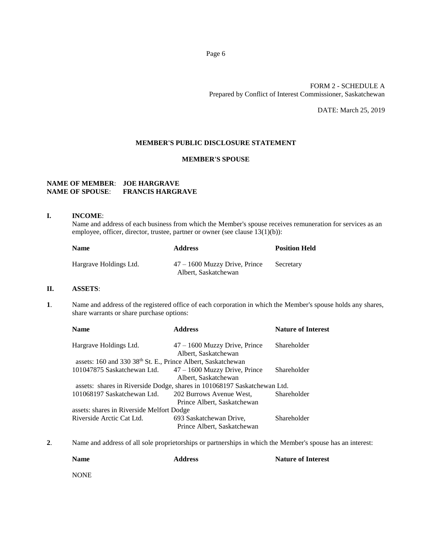# FORM 2 - SCHEDULE A Prepared by Conflict of Interest Commissioner, Saskatchewan

DATE: March 25, 2019

## **MEMBER'S PUBLIC DISCLOSURE STATEMENT**

## **MEMBER'S SPOUSE**

# **NAME OF MEMBER**: **JOE HARGRAVE NAME OF SPOUSE**: **FRANCIS HARGRAVE**

## **I. INCOME**:

Name and address of each business from which the Member's spouse receives remuneration for services as an employee, officer, director, trustee, partner or owner (see clause 13(1)(b)):

| <b>Name</b>            | <b>Address</b>                                          | <b>Position Held</b> |
|------------------------|---------------------------------------------------------|----------------------|
| Hargrave Holdings Ltd. | $47 - 1600$ Muzzy Drive, Prince<br>Albert, Saskatchewan | Secretary            |

## **II. ASSETS**:

**1**. Name and address of the registered office of each corporation in which the Member's spouse holds any shares, share warrants or share purchase options:

| <b>Name</b>                                                  | <b>Address</b>                                                           | <b>Nature of Interest</b> |
|--------------------------------------------------------------|--------------------------------------------------------------------------|---------------------------|
| Hargrave Holdings Ltd.                                       | $47 - 1600$ Muzzy Drive, Prince                                          | Shareholder               |
|                                                              | Albert, Saskatchewan                                                     |                           |
| assets: 160 and 330 38th St. E., Prince Albert, Saskatchewan |                                                                          |                           |
| 101047875 Saskatchewan Ltd.                                  | $47 - 1600$ Muzzy Drive, Prince                                          | Shareholder               |
|                                                              | Albert, Saskatchewan                                                     |                           |
|                                                              | assets: shares in Riverside Dodge, shares in 101068197 Saskatchewan Ltd. |                           |
| 101068197 Saskatchewan Ltd.                                  | 202 Burrows Avenue West,                                                 | Shareholder               |
|                                                              | Prince Albert, Saskatchewan                                              |                           |
| assets: shares in Riverside Melfort Dodge                    |                                                                          |                           |
| Riverside Arctic Cat Ltd.                                    | 693 Saskatchewan Drive,                                                  | Shareholder               |
|                                                              | Prince Albert, Saskatchewan                                              |                           |

**2**. Name and address of all sole proprietorships or partnerships in which the Member's spouse has an interest:

| <b>Name</b> | <b>Address</b> | <b>Nature of Interest</b> |
|-------------|----------------|---------------------------|
| <b>NONE</b> |                |                           |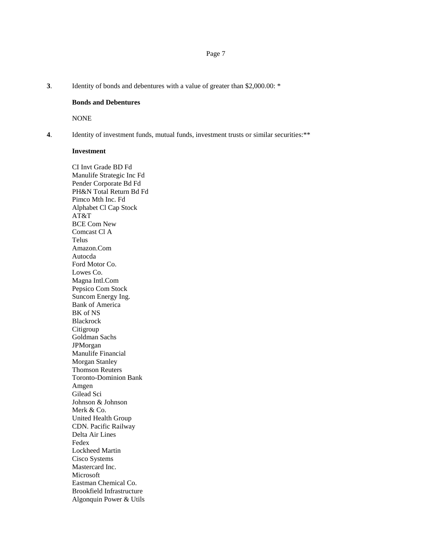#### **3**. Identity of bonds and debentures with a value of greater than \$2,000.00: \*

## **Bonds and Debentures**

NONE

**4**. Identity of investment funds, mutual funds, investment trusts or similar securities:\*\*

## **Investment**

CI Invt Grade BD Fd Manulife Strategic Inc Fd Pender Corporate Bd Fd PH&N Total Return Bd Fd Pimco Mth Inc. Fd Alphabet Cl Cap Stock AT&T BCE Com New Comcast Cl A Telus Amazon.Com Autocda Ford Motor Co. Lowes Co. Magna Intl.Com Pepsico Com Stock Suncom Energy Ing. Bank of America BK of NS Blackrock Citigroup Goldman Sachs JPMorgan Manulife Financial Morgan Stanley Thomson Reuters Toronto-Dominion Bank Amgen Gilead Sci Johnson & Johnson Merk & Co. United Health Group CDN. Pacific Railway Delta Air Lines Fedex Lockheed Martin Cisco Systems Mastercard Inc. Microsoft Eastman Chemical Co. Brookfield Infrastructure Algonquin Power & Utils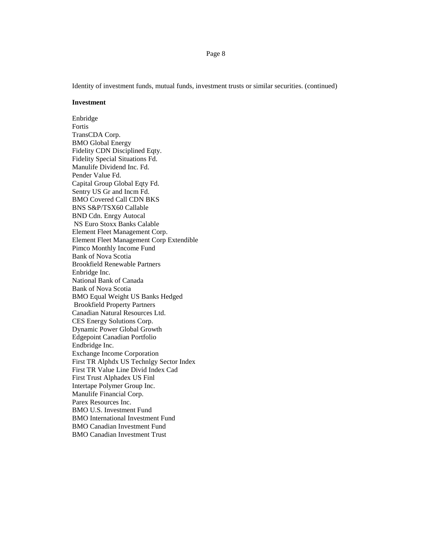Identity of investment funds, mutual funds, investment trusts or similar securities. (continued)

#### **Investment**

Enbridge Fortis TransCDA Corp. BMO Global Energy Fidelity CDN Disciplined Eqty. Fidelity Special Situations Fd. Manulife Dividend Inc. Fd. Pender Value Fd. Capital Group Global Eqty Fd. Sentry US Gr and Incm Fd. BMO Covered Call CDN BKS BNS S&P/TSX60 Callable BND Cdn. Enrgy Autocal NS Euro Stoxx Banks Calable Element Fleet Management Corp. Element Fleet Management Corp Extendible Pimco Monthly Income Fund Bank of Nova Scotia Brookfield Renewable Partners Enbridge Inc. National Bank of Canada Bank of Nova Scotia BMO Equal Weight US Banks Hedged Brookfield Property Partners Canadian Natural Resources Ltd. CES Energy Solutions Corp. Dynamic Power Global Growth Edgepoint Canadian Portfolio Endbridge Inc. Exchange Income Corporation First TR Alphdx US Technlgy Sector Index First TR Value Line Divid Index Cad First Trust Alphadex US Finl Intertape Polymer Group Inc. Manulife Financial Corp. Parex Resources Inc. BMO U.S. Investment Fund BMO International Investment Fund BMO Canadian Investment Fund BMO Canadian Investment Trust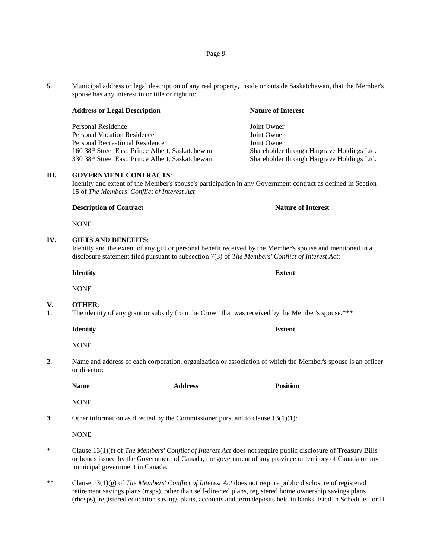**5**. Municipal address or legal description of any real property, inside or outside Saskatchewan, that the Member's spouse has any interest in or title or right to:

#### **Address or Legal Description Nature of Interest**

Personal Residence and American Solution of The Joint Owner Personal Vacation Residence **Vacation Residence** Joint Owner Personal Recreational Residence Joint Owner 160 38<sup>th</sup> Street East, Prince Albert, Saskatchewan Shareholder through Hargrave Holdings Ltd.<br>
30 38<sup>th</sup> Street East, Prince Albert, Saskatchewan Shareholder through Hargrave Holdings Ltd.

## **III. GOVERNMENT CONTRACTS**:

Identity and extent of the Member's spouse's participation in any Government contract as defined in Section 15 of *The Members' Conflict of Interest Act*:

#### **Description of Contract Nature of Interest Nature of Interest**

NONE

## **IV. GIFTS AND BENEFITS**:

Identity and the extent of any gift or personal benefit received by the Member's spouse and mentioned in a disclosure statement filed pursuant to subsection 7(3) of *The Members' Conflict of Interest Act*:

**Identity Extent**

**NONE** 

## **V. OTHER**:

**1**. The identity of any grant or subsidy from the Crown that was received by the Member's spouse.\*\*\*

**Identity Extent**

NONE

**2**. Name and address of each corporation, organization or association of which the Member's spouse is an officer or director:

**Name Address Position**

**NONE** 

**3**. Other information as directed by the Commissioner pursuant to clause 13(1)(1):

**NONE** 

- \* Clause 13(1)(f) of *The Members' Conflict of Interest Act* does not require public disclosure of Treasury Bills or bonds issued by the Government of Canada, the government of any province or territory of Canada or any municipal government in Canada.
- \*\* Clause 13(1)(g) of *The Members' Conflict of Interest Act* does not require public disclosure of registered retirement savings plans (rrsps), other than self-directed plans, registered home ownership savings plans (rhosps), registered education savings plans, accounts and term deposits held in banks listed in Schedule I or II

Shareholder through Hargrave Holdings Ltd.